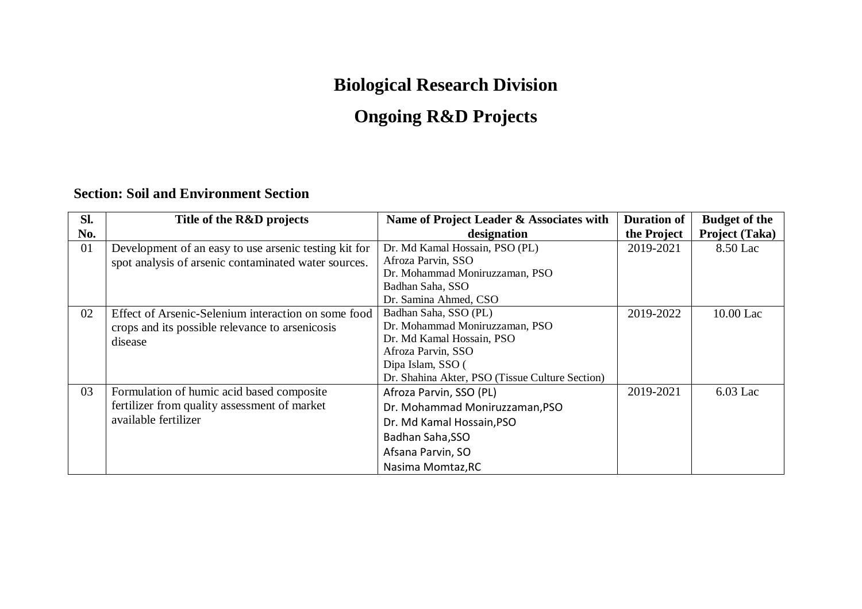## **Biological Research Division**

## **Ongoing R&D Projects**

#### **Section: Soil and Environment Section**

| Sl. | Title of the R&D projects                             | Name of Project Leader & Associates with        | <b>Duration of</b> | <b>Budget of the</b> |
|-----|-------------------------------------------------------|-------------------------------------------------|--------------------|----------------------|
| No. |                                                       | designation                                     | the Project        | Project (Taka)       |
| 01  | Development of an easy to use arsenic testing kit for | Dr. Md Kamal Hossain, PSO (PL)                  | 2019-2021          | 8.50 Lac             |
|     | spot analysis of arsenic contaminated water sources.  | Afroza Parvin, SSO                              |                    |                      |
|     |                                                       | Dr. Mohammad Moniruzzaman, PSO                  |                    |                      |
|     |                                                       | Badhan Saha, SSO                                |                    |                      |
|     |                                                       | Dr. Samina Ahmed, CSO                           |                    |                      |
| 02  | Effect of Arsenic-Selenium interaction on some food   | Badhan Saha, SSO (PL)                           | 2019-2022          | 10.00 Lac            |
|     | crops and its possible relevance to arsenicosis       | Dr. Mohammad Moniruzzaman, PSO                  |                    |                      |
|     | disease                                               | Dr. Md Kamal Hossain, PSO                       |                    |                      |
|     |                                                       | Afroza Parvin, SSO                              |                    |                      |
|     |                                                       | Dipa Islam, SSO (                               |                    |                      |
|     |                                                       | Dr. Shahina Akter, PSO (Tissue Culture Section) |                    |                      |
| 03  | Formulation of humic acid based composite             | Afroza Parvin, SSO (PL)                         | 2019-2021          | $6.03$ Lac           |
|     | fertilizer from quality assessment of market          | Dr. Mohammad Moniruzzaman, PSO                  |                    |                      |
|     | available fertilizer                                  | Dr. Md Kamal Hossain, PSO                       |                    |                      |
|     |                                                       | Badhan Saha, SSO                                |                    |                      |
|     |                                                       | Afsana Parvin, SO                               |                    |                      |
|     |                                                       | Nasima Momtaz, RC                               |                    |                      |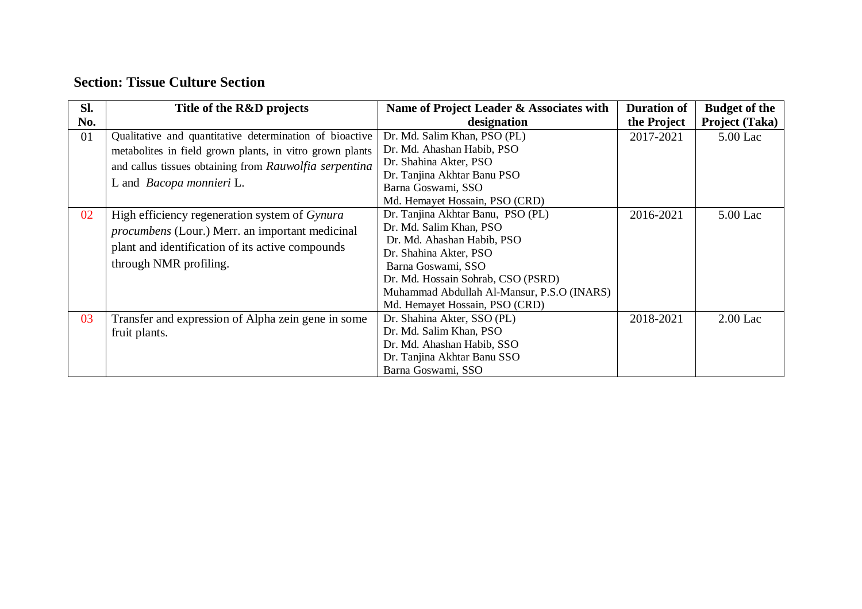#### **Section: Tissue Culture Section**

| Sl. | Title of the R&D projects                                                                                                                                                                                        | Name of Project Leader & Associates with                                                                                                                                                                                                                         | <b>Duration of</b> | <b>Budget of the</b>  |
|-----|------------------------------------------------------------------------------------------------------------------------------------------------------------------------------------------------------------------|------------------------------------------------------------------------------------------------------------------------------------------------------------------------------------------------------------------------------------------------------------------|--------------------|-----------------------|
| No. |                                                                                                                                                                                                                  | designation                                                                                                                                                                                                                                                      | the Project        | <b>Project (Taka)</b> |
| 01  | Qualitative and quantitative determination of bioactive<br>metabolites in field grown plants, in vitro grown plants<br>and callus tissues obtaining from Rauwolfia serpentina<br>L and <i>Bacopa monnieri</i> L. | Dr. Md. Salim Khan, PSO (PL)<br>Dr. Md. Ahashan Habib, PSO<br>Dr. Shahina Akter, PSO<br>Dr. Tanjina Akhtar Banu PSO<br>Barna Goswami, SSO                                                                                                                        | 2017-2021          | 5.00 Lac              |
|     |                                                                                                                                                                                                                  | Md. Hemayet Hossain, PSO (CRD)                                                                                                                                                                                                                                   |                    |                       |
| 02  | High efficiency regeneration system of Gynura<br><i>procumbens</i> (Lour.) Merr. an important medicinal<br>plant and identification of its active compounds<br>through NMR profiling.                            | Dr. Tanjina Akhtar Banu, PSO (PL)<br>Dr. Md. Salim Khan, PSO<br>Dr. Md. Ahashan Habib, PSO<br>Dr. Shahina Akter, PSO<br>Barna Goswami, SSO<br>Dr. Md. Hossain Sohrab, CSO (PSRD)<br>Muhammad Abdullah Al-Mansur, P.S.O (INARS)<br>Md. Hemayet Hossain, PSO (CRD) | 2016-2021          | 5.00 Lac              |
| 03  | Transfer and expression of Alpha zein gene in some<br>fruit plants.                                                                                                                                              | Dr. Shahina Akter, SSO (PL)<br>Dr. Md. Salim Khan, PSO<br>Dr. Md. Ahashan Habib, SSO<br>Dr. Tanjina Akhtar Banu SSO<br>Barna Goswami, SSO                                                                                                                        | 2018-2021          | $2.00$ Lac            |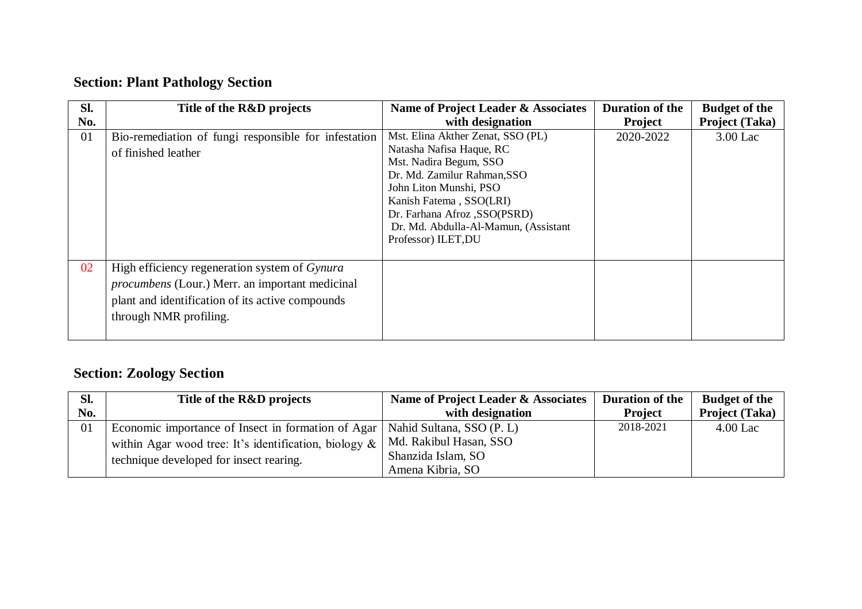### **Section: Plant Pathology Section**

| Sl. | Title of the R&D projects                                                                                                                                                             | Name of Project Leader & Associates                                                                                                                                                                                                                                         | <b>Duration of the</b> | <b>Budget of the</b>  |
|-----|---------------------------------------------------------------------------------------------------------------------------------------------------------------------------------------|-----------------------------------------------------------------------------------------------------------------------------------------------------------------------------------------------------------------------------------------------------------------------------|------------------------|-----------------------|
| No. |                                                                                                                                                                                       | with designation                                                                                                                                                                                                                                                            | <b>Project</b>         | <b>Project (Taka)</b> |
| 01  | Bio-remediation of fungi responsible for infestation<br>of finished leather                                                                                                           | Mst. Elina Akther Zenat, SSO (PL)<br>Natasha Nafisa Haque, RC<br>Mst. Nadira Begum, SSO<br>Dr. Md. Zamilur Rahman, SSO<br>John Liton Munshi, PSO<br>Kanish Fatema, SSO(LRI)<br>Dr. Farhana Afroz , SSO(PSRD)<br>Dr. Md. Abdulla-Al-Mamun, (Assistant<br>Professor) ILET, DU | 2020-2022              | 3.00 Lac              |
| 02  | High efficiency regeneration system of Gynura<br><i>procumbens</i> (Lour.) Merr. an important medicinal<br>plant and identification of its active compounds<br>through NMR profiling. |                                                                                                                                                                                                                                                                             |                        |                       |

### **Section: Zoology Section**

| Sl. | Title of the R&D projects                                                      | Name of Project Leader & Associates | Duration of the | <b>Budget of the</b>  |
|-----|--------------------------------------------------------------------------------|-------------------------------------|-----------------|-----------------------|
| No. |                                                                                | with designation                    | <b>Project</b>  | <b>Project (Taka)</b> |
| 01  | Economic importance of Insect in formation of Agar   Nahid Sultana, SSO (P. L) |                                     | 2018-2021       | $4.00$ Lac            |
|     | within Agar wood tree: It's identification, biology $\&\ $                     | Md. Rakibul Hasan, SSO              |                 |                       |
|     | technique developed for insect rearing.                                        | Shanzida Islam, SO                  |                 |                       |
|     |                                                                                | Amena Kibria, SO                    |                 |                       |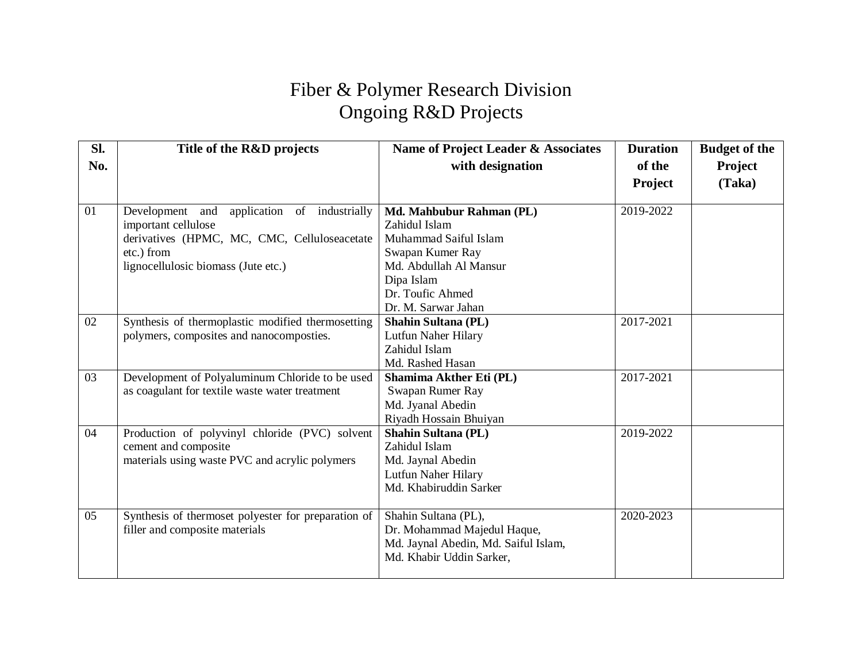## Fiber & Polymer Research Division Ongoing R&D Projects

| SI. | Title of the R&D projects                           | Name of Project Leader & Associates  | <b>Duration</b> | <b>Budget of the</b> |
|-----|-----------------------------------------------------|--------------------------------------|-----------------|----------------------|
| No. |                                                     | with designation                     | of the          | Project              |
|     |                                                     |                                      | <b>Project</b>  | (Taka)               |
|     |                                                     |                                      |                 |                      |
| 01  | application of industrially<br>Development and      | Md. Mahbubur Rahman (PL)             | 2019-2022       |                      |
|     | important cellulose                                 | Zahidul Islam                        |                 |                      |
|     | derivatives (HPMC, MC, CMC, Celluloseacetate        | Muhammad Saiful Islam                |                 |                      |
|     | etc.) from                                          | Swapan Kumer Ray                     |                 |                      |
|     | lignocellulosic biomass (Jute etc.)                 | Md. Abdullah Al Mansur               |                 |                      |
|     |                                                     | Dipa Islam                           |                 |                      |
|     |                                                     | Dr. Toufic Ahmed                     |                 |                      |
|     |                                                     | Dr. M. Sarwar Jahan                  |                 |                      |
| 02  | Synthesis of thermoplastic modified thermosetting   | <b>Shahin Sultana (PL)</b>           | 2017-2021       |                      |
|     | polymers, composites and nanocomposties.            | Lutfun Naher Hilary                  |                 |                      |
|     |                                                     | Zahidul Islam                        |                 |                      |
|     |                                                     | Md. Rashed Hasan                     |                 |                      |
| 03  | Development of Polyaluminum Chloride to be used     | Shamima Akther Eti (PL)              | 2017-2021       |                      |
|     | as coagulant for textile waste water treatment      | Swapan Rumer Ray                     |                 |                      |
|     |                                                     | Md. Jyanal Abedin                    |                 |                      |
|     |                                                     | Riyadh Hossain Bhuiyan               |                 |                      |
| 04  | Production of polyvinyl chloride (PVC) solvent      | <b>Shahin Sultana (PL)</b>           | 2019-2022       |                      |
|     | cement and composite                                | Zahidul Islam                        |                 |                      |
|     | materials using waste PVC and acrylic polymers      | Md. Jaynal Abedin                    |                 |                      |
|     |                                                     | Lutfun Naher Hilary                  |                 |                      |
|     |                                                     | Md. Khabiruddin Sarker               |                 |                      |
| 05  | Synthesis of thermoset polyester for preparation of | Shahin Sultana (PL),                 | 2020-2023       |                      |
|     | filler and composite materials                      | Dr. Mohammad Majedul Haque,          |                 |                      |
|     |                                                     | Md. Jaynal Abedin, Md. Saiful Islam, |                 |                      |
|     |                                                     | Md. Khabir Uddin Sarker,             |                 |                      |
|     |                                                     |                                      |                 |                      |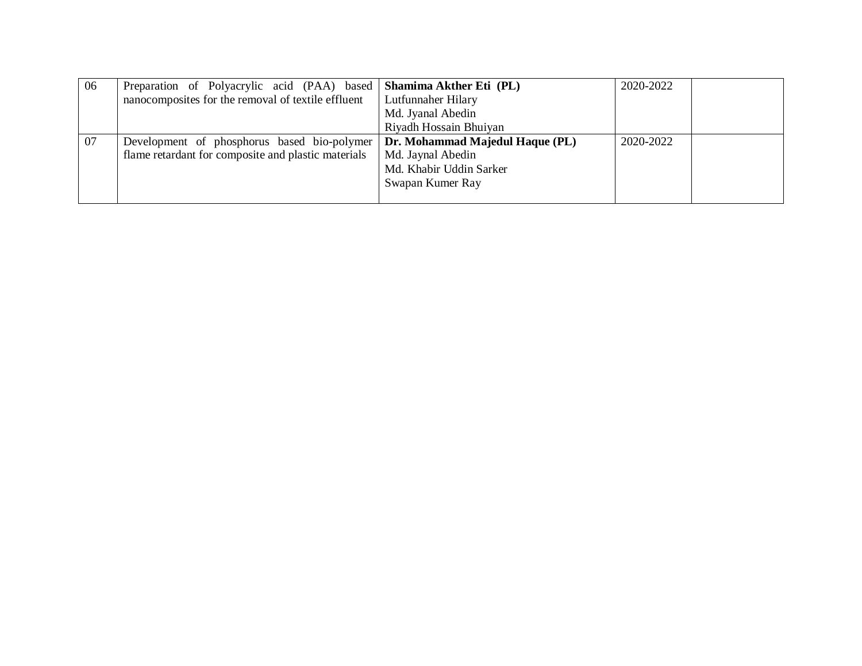| -06 | Preparation of Polyacrylic acid (PAA) based   Shamima Akther Eti (PL) |                                 | 2020-2022 |
|-----|-----------------------------------------------------------------------|---------------------------------|-----------|
|     | nanocomposites for the removal of textile effluent                    | Lutfunnaher Hilary              |           |
|     |                                                                       | Md. Jyanal Abedin               |           |
|     |                                                                       | Riyadh Hossain Bhuiyan          |           |
| 07  | Development of phosphorus based bio-polymer                           | Dr. Mohammad Majedul Haque (PL) | 2020-2022 |
|     | flame retardant for composite and plastic materials                   | Md. Jaynal Abedin               |           |
|     |                                                                       | Md. Khabir Uddin Sarker         |           |
|     |                                                                       | Swapan Kumer Ray                |           |
|     |                                                                       |                                 |           |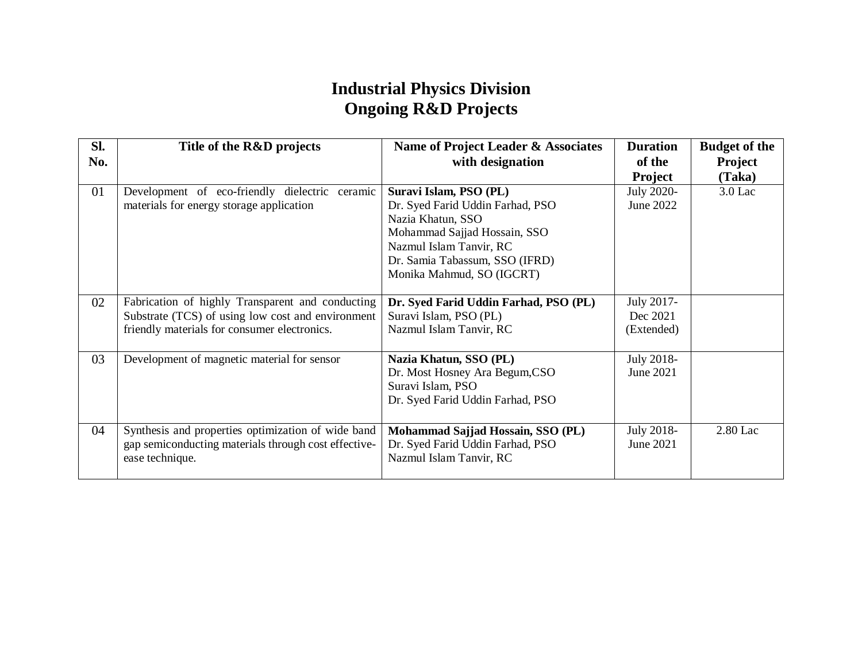#### **Industrial Physics Division Ongoing R&D Projects**

| Sl.<br>No. | Title of the R&D projects                                                                                                                             | Name of Project Leader & Associates<br>with designation                                                                                                                                                   | <b>Duration</b><br>of the<br><b>Project</b> | <b>Budget of the</b><br>Project<br>(Taka) |
|------------|-------------------------------------------------------------------------------------------------------------------------------------------------------|-----------------------------------------------------------------------------------------------------------------------------------------------------------------------------------------------------------|---------------------------------------------|-------------------------------------------|
| 01         | Development of eco-friendly dielectric ceramic<br>materials for energy storage application                                                            | Suravi Islam, PSO (PL)<br>Dr. Syed Farid Uddin Farhad, PSO<br>Nazia Khatun, SSO<br>Mohammad Sajjad Hossain, SSO<br>Nazmul Islam Tanvir, RC<br>Dr. Samia Tabassum, SSO (IFRD)<br>Monika Mahmud, SO (IGCRT) | <b>July 2020-</b><br>June 2022              | $3.0$ Lac                                 |
| 02         | Fabrication of highly Transparent and conducting<br>Substrate (TCS) of using low cost and environment<br>friendly materials for consumer electronics. | Dr. Syed Farid Uddin Farhad, PSO (PL)<br>Suravi Islam, PSO (PL)<br>Nazmul Islam Tanvir, RC                                                                                                                | July 2017-<br>Dec 2021<br>(Extended)        |                                           |
| 03         | Development of magnetic material for sensor                                                                                                           | Nazia Khatun, SSO (PL)<br>Dr. Most Hosney Ara Begum, CSO<br>Suravi Islam, PSO<br>Dr. Syed Farid Uddin Farhad, PSO                                                                                         | July 2018-<br>June 2021                     |                                           |
| 04         | Synthesis and properties optimization of wide band<br>gap semiconducting materials through cost effective-<br>ease technique.                         | Mohammad Sajjad Hossain, SSO (PL)<br>Dr. Syed Farid Uddin Farhad, PSO<br>Nazmul Islam Tanvir, RC                                                                                                          | July 2018-<br>June 2021                     | 2.80 Lac                                  |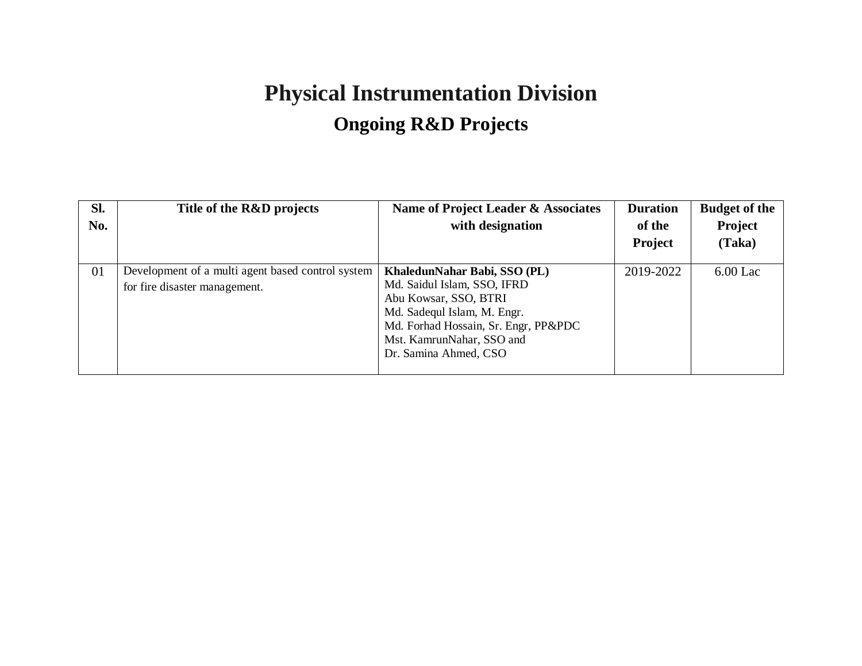# **Physical Instrumentation Division Ongoing R&D Projects**

| Sl.<br>No. | Title of the R&D projects                                                          | Name of Project Leader & Associates<br>with designation                                                                                                                                                           | <b>Duration</b><br>of the<br><b>Project</b> | <b>Budget of the</b><br>Project<br>(Taka) |
|------------|------------------------------------------------------------------------------------|-------------------------------------------------------------------------------------------------------------------------------------------------------------------------------------------------------------------|---------------------------------------------|-------------------------------------------|
| 01         | Development of a multi agent based control system<br>for fire disaster management. | KhaledunNahar Babi, SSO (PL)<br>Md. Saidul Islam, SSO, IFRD<br>Abu Kowsar, SSO, BTRI<br>Md. Sadequl Islam, M. Engr.<br>Md. Forhad Hossain, Sr. Engr, PP&PDC<br>Mst. KamrunNahar, SSO and<br>Dr. Samina Ahmed, CSO | 2019-2022                                   | $6.00$ Lac                                |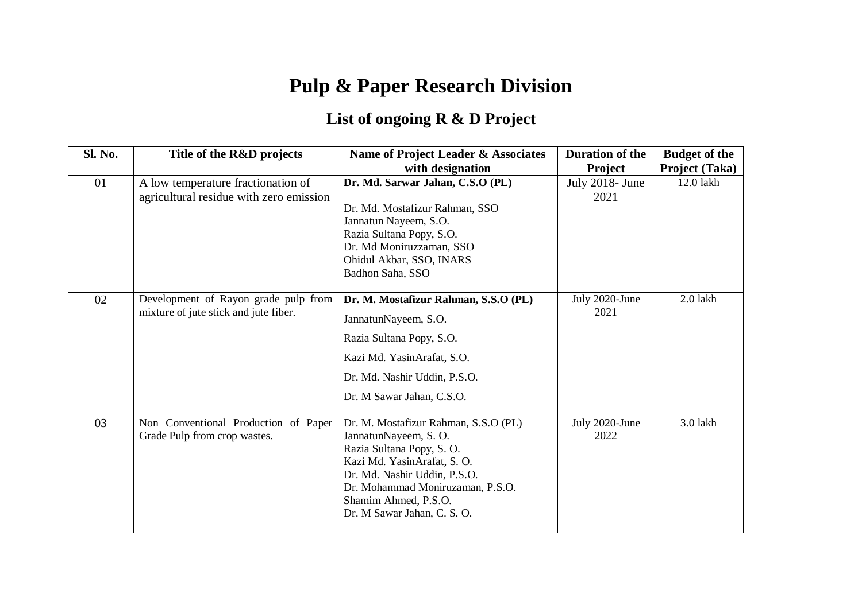# **Pulp & Paper Research Division**

## **List of ongoing R & D Project**

| Sl. No. | Title of the R&D projects                                                     | Name of Project Leader & Associates                          | <b>Duration of the</b> | <b>Budget of the</b> |
|---------|-------------------------------------------------------------------------------|--------------------------------------------------------------|------------------------|----------------------|
|         |                                                                               | with designation                                             | Project                | Project (Taka)       |
| 01      | A low temperature fractionation of                                            | Dr. Md. Sarwar Jahan, C.S.O (PL)                             | July 2018- June        | 12.0 lakh            |
|         | agricultural residue with zero emission                                       |                                                              | 2021                   |                      |
|         |                                                                               | Dr. Md. Mostafizur Rahman, SSO                               |                        |                      |
|         |                                                                               | Jannatun Nayeem, S.O.                                        |                        |                      |
|         |                                                                               | Razia Sultana Popy, S.O.                                     |                        |                      |
|         |                                                                               | Dr. Md Moniruzzaman, SSO<br>Ohidul Akbar, SSO, INARS         |                        |                      |
|         |                                                                               | Badhon Saha, SSO                                             |                        |                      |
|         |                                                                               |                                                              |                        |                      |
| 02      | Development of Rayon grade pulp from<br>mixture of jute stick and jute fiber. | Dr. M. Mostafizur Rahman, S.S.O (PL)                         | July 2020-June         | 2.0 lakh             |
|         |                                                                               | JannatunNayeem, S.O.                                         | 2021                   |                      |
|         |                                                                               |                                                              |                        |                      |
|         |                                                                               | Razia Sultana Popy, S.O.                                     |                        |                      |
|         |                                                                               | Kazi Md. YasinArafat, S.O.                                   |                        |                      |
|         |                                                                               | Dr. Md. Nashir Uddin, P.S.O.                                 |                        |                      |
|         |                                                                               | Dr. M Sawar Jahan, C.S.O.                                    |                        |                      |
|         |                                                                               |                                                              |                        | 3.0 lakh             |
| 03      | Non Conventional Production of Paper<br>Grade Pulp from crop wastes.          | Dr. M. Mostafizur Rahman, S.S.O (PL)<br>JannatunNayeem, S.O. | July 2020-June<br>2022 |                      |
|         |                                                                               | Razia Sultana Popy, S.O.                                     |                        |                      |
|         |                                                                               | Kazi Md. YasinArafat, S. O.                                  |                        |                      |
|         |                                                                               | Dr. Md. Nashir Uddin, P.S.O.                                 |                        |                      |
|         |                                                                               | Dr. Mohammad Moniruzaman, P.S.O.                             |                        |                      |
|         |                                                                               | Shamim Ahmed, P.S.O.                                         |                        |                      |
|         |                                                                               | Dr. M Sawar Jahan, C. S. O.                                  |                        |                      |
|         |                                                                               |                                                              |                        |                      |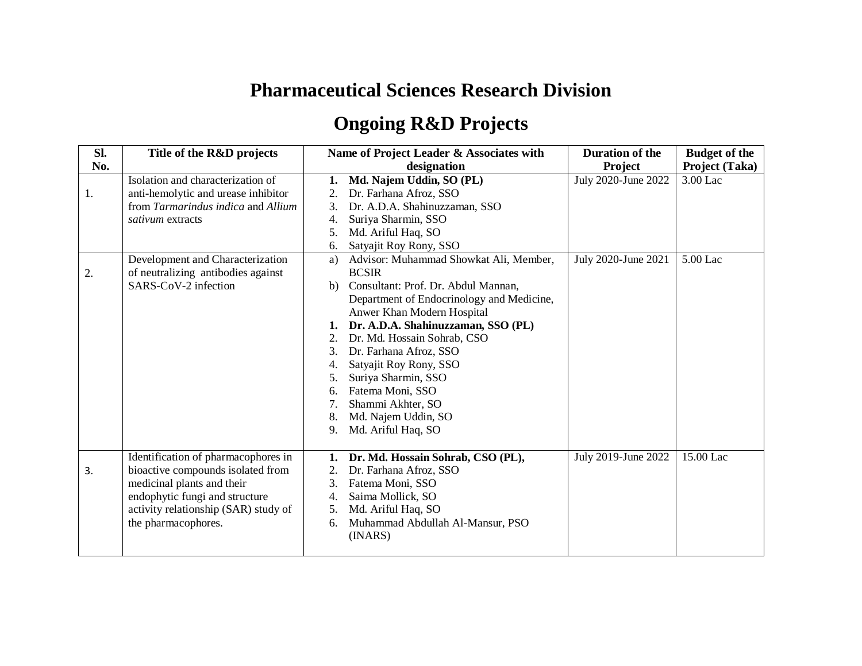## **Pharmaceutical Sciences Research Division**

## **Ongoing R&D Projects**

| Sl. | Title of the R&D projects            | Name of Project Leader & Associates with     | <b>Duration of the</b> | <b>Budget of the</b> |
|-----|--------------------------------------|----------------------------------------------|------------------------|----------------------|
| No. |                                      | designation                                  | Project                | Project (Taka)       |
|     | Isolation and characterization of    | Md. Najem Uddin, SO (PL)<br>1.               | July 2020-June 2022    | 3.00 Lac             |
| 1.  | anti-hemolytic and urease inhibitor  | 2.<br>Dr. Farhana Afroz, SSO                 |                        |                      |
|     | from Tarmarindus indica and Allium   | 3.<br>Dr. A.D.A. Shahinuzzaman, SSO          |                        |                      |
|     | sativum extracts                     | Suriya Sharmin, SSO<br>4.                    |                        |                      |
|     |                                      | 5.<br>Md. Ariful Haq, SO                     |                        |                      |
|     |                                      | Satyajit Roy Rony, SSO<br>6.                 |                        |                      |
|     | Development and Characterization     | Advisor: Muhammad Showkat Ali, Member,<br>a) | July 2020-June 2021    | 5.00 Lac             |
| 2.  | of neutralizing antibodies against   | <b>BCSIR</b>                                 |                        |                      |
|     | SARS-CoV-2 infection                 | Consultant: Prof. Dr. Abdul Mannan,<br>b)    |                        |                      |
|     |                                      | Department of Endocrinology and Medicine,    |                        |                      |
|     |                                      | Anwer Khan Modern Hospital                   |                        |                      |
|     |                                      | Dr. A.D.A. Shahinuzzaman, SSO (PL)<br>1.     |                        |                      |
|     |                                      | Dr. Md. Hossain Sohrab, CSO<br>2.            |                        |                      |
|     |                                      | Dr. Farhana Afroz, SSO<br>3.                 |                        |                      |
|     |                                      | Satyajit Roy Rony, SSO<br>4.                 |                        |                      |
|     |                                      | Suriya Sharmin, SSO<br>5.                    |                        |                      |
|     |                                      | Fatema Moni, SSO<br>6.                       |                        |                      |
|     |                                      | Shammi Akhter, SO                            |                        |                      |
|     |                                      | Md. Najem Uddin, SO<br>8.                    |                        |                      |
|     |                                      | Md. Ariful Haq, SO<br>9.                     |                        |                      |
|     |                                      |                                              |                        |                      |
|     | Identification of pharmacophores in  | Dr. Md. Hossain Sohrab, CSO (PL),<br>1.      | July 2019-June 2022    | 15.00 Lac            |
| 3.  | bioactive compounds isolated from    | Dr. Farhana Afroz, SSO<br>2.                 |                        |                      |
|     | medicinal plants and their           | Fatema Moni, SSO<br>3.                       |                        |                      |
|     | endophytic fungi and structure       | Saima Mollick, SO<br>4.                      |                        |                      |
|     | activity relationship (SAR) study of | Md. Ariful Haq, SO<br>5.                     |                        |                      |
|     | the pharmacophores.                  | Muhammad Abdullah Al-Mansur, PSO<br>6.       |                        |                      |
|     |                                      | (INARS)                                      |                        |                      |
|     |                                      |                                              |                        |                      |